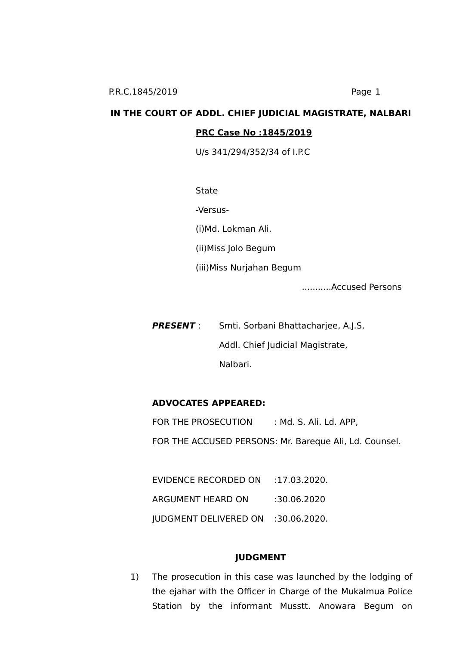# **IN THE COURT OF ADDL. CHIEF JUDICIAL MAGISTRATE, NALBARI PRC Case No :1845/2019**

U/s 341/294/352/34 of I.P.C

**State** 

-Versus-

(i)Md. Lokman Ali.

(ii)Miss Jolo Begum

(iii)Miss Nurjahan Begum

...........Accused Persons

**PRESENT** : Smti. Sorbani Bhattacharjee, A.J.S, Addl. Chief Judicial Magistrate, Nalbari.

# **ADVOCATES APPEARED:**

FOR THE PROSECUTION : Md. S. Ali. Ld. APP, FOR THE ACCUSED PERSONS: Mr. Bareque Ali, Ld. Counsel.

EVIDENCE RECORDED ON :17.03.2020. ARGUMENT HEARD ON :30.06.2020 JUDGMENT DELIVERED ON :30.06.2020.

#### **JUDGMENT**

1) The prosecution in this case was launched by the lodging of the ejahar with the Officer in Charge of the Mukalmua Police Station by the informant Musstt. Anowara Begum on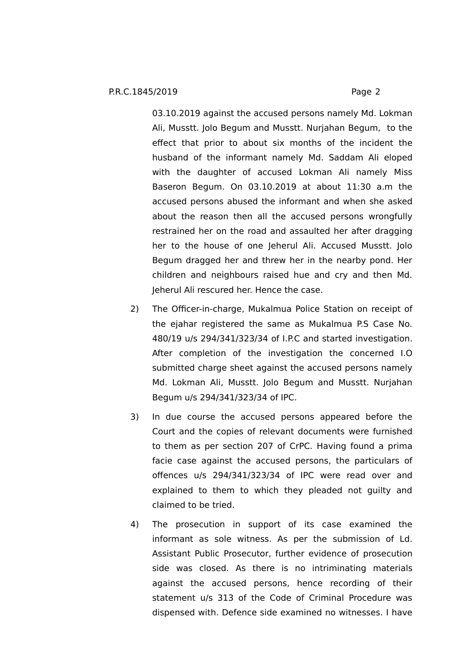03.10.2019 against the accused persons namely Md. Lokman Ali, Musstt. Jolo Begum and Musstt. Nurjahan Begum, to the effect that prior to about six months of the incident the husband of the informant namely Md. Saddam Ali eloped with the daughter of accused Lokman Ali namely Miss Baseron Begum. On 03.10.2019 at about 11:30 a.m the accused persons abused the informant and when she asked about the reason then all the accused persons wrongfully restrained her on the road and assaulted her after dragging her to the house of one Jeherul Ali. Accused Musstt. Jolo Begum dragged her and threw her in the nearby pond. Her children and neighbours raised hue and cry and then Md. Jeherul Ali rescured her. Hence the case.

- 2) The Officer-in-charge, Mukalmua Police Station on receipt of the ejahar registered the same as Mukalmua P.S Case No. 480/19 u/s 294/341/323/34 of I.P.C and started investigation. After completion of the investigation the concerned I.O submitted charge sheet against the accused persons namely Md. Lokman Ali, Musstt. Jolo Begum and Musstt. Nurjahan Begum u/s 294/341/323/34 of IPC.
- 3) In due course the accused persons appeared before the Court and the copies of relevant documents were furnished to them as per section 207 of CrPC. Having found a prima facie case against the accused persons, the particulars of offences u/s 294/341/323/34 of IPC were read over and explained to them to which they pleaded not guilty and claimed to be tried.
- 4) The prosecution in support of its case examined the informant as sole witness. As per the submission of Ld. Assistant Public Prosecutor, further evidence of prosecution side was closed. As there is no intriminating materials against the accused persons, hence recording of their statement u/s 313 of the Code of Criminal Procedure was dispensed with. Defence side examined no witnesses. I have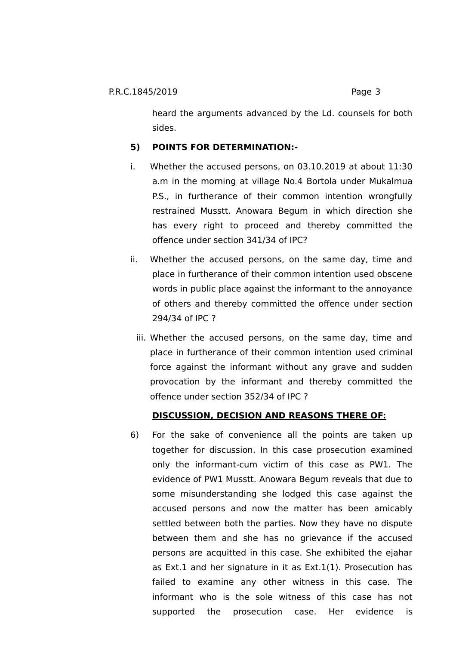heard the arguments advanced by the Ld. counsels for both sides.

# **5) POINTS FOR DETERMINATION:-**

- i. Whether the accused persons, on 03.10.2019 at about 11:30 a.m in the morning at village No.4 Bortola under Mukalmua P.S., in furtherance of their common intention wrongfully restrained Musstt. Anowara Begum in which direction she has every right to proceed and thereby committed the offence under section 341/34 of IPC?
- ii. Whether the accused persons, on the same day, time and place in furtherance of their common intention used obscene words in public place against the informant to the annoyance of others and thereby committed the offence under section 294/34 of IPC ?
	- iii. Whether the accused persons, on the same day, time and place in furtherance of their common intention used criminal force against the informant without any grave and sudden provocation by the informant and thereby committed the offence under section 352/34 of IPC ?

# **DISCUSSION, DECISION AND REASONS THERE OF:**

6) For the sake of convenience all the points are taken up together for discussion. In this case prosecution examined only the informant-cum victim of this case as PW1. The evidence of PW1 Musstt. Anowara Begum reveals that due to some misunderstanding she lodged this case against the accused persons and now the matter has been amicably settled between both the parties. Now they have no dispute between them and she has no grievance if the accused persons are acquitted in this case. She exhibited the ejahar as Ext.1 and her signature in it as Ext.1(1). Prosecution has failed to examine any other witness in this case. The informant who is the sole witness of this case has not supported the prosecution case. Her evidence is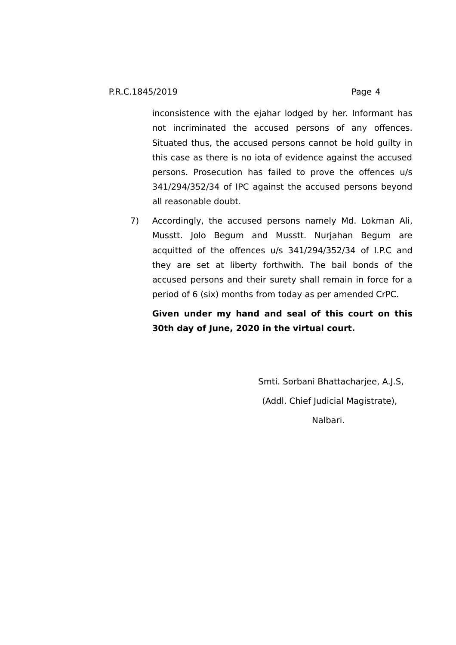inconsistence with the ejahar lodged by her. Informant has not incriminated the accused persons of any offences. Situated thus, the accused persons cannot be hold guilty in this case as there is no iota of evidence against the accused persons. Prosecution has failed to prove the offences u/s 341/294/352/34 of IPC against the accused persons beyond all reasonable doubt.

7) Accordingly, the accused persons namely Md. Lokman Ali, Musstt. Jolo Begum and Musstt. Nurjahan Begum are acquitted of the offences u/s 341/294/352/34 of I.P.C and they are set at liberty forthwith. The bail bonds of the accused persons and their surety shall remain in force for a period of 6 (six) months from today as per amended CrPC.

**Given under my hand and seal of this court on this 30th day of June, 2020 in the virtual court.** 

> Smti. Sorbani Bhattacharjee, A.J.S, (Addl. Chief Judicial Magistrate), Nalbari.